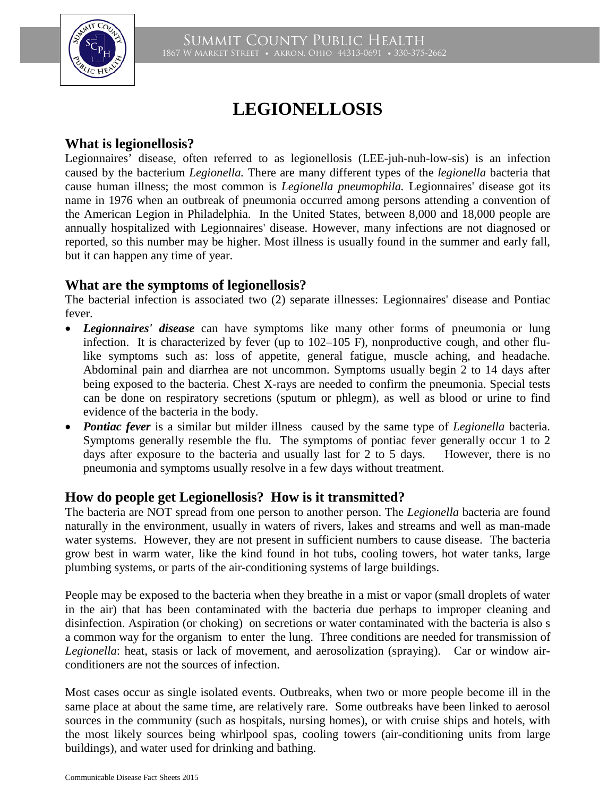

# **LEGIONELLOSIS**

## **What is legionellosis?**

Legionnaires' disease, often referred to as legionellosis (LEE-juh-nuh-low-sis) is an infection caused by the bacterium *Legionella.* There are many different types of the *legionella* bacteria that cause human illness; the most common is *Legionella pneumophila.* Legionnaires' disease got its name in 1976 when an outbreak of pneumonia occurred among persons attending a convention of the American Legion in Philadelphia. In the United States, between 8,000 and 18,000 people are annually hospitalized with Legionnaires' disease. However, many infections are not diagnosed or reported, so this number may be higher. Most illness is usually found in the summer and early fall, but it can happen any time of year.

# **What are the symptoms of legionellosis?**

The bacterial infection is associated two (2) separate illnesses: Legionnaires' disease and Pontiac fever.

- *Legionnaires' disease* can have symptoms like many other forms of pneumonia or lung infection. It is characterized by fever (up to 102–105 F), nonproductive cough, and other flulike symptoms such as: loss of appetite, general fatigue, muscle aching, and headache. Abdominal pain and diarrhea are not uncommon. Symptoms usually begin 2 to 14 days after being exposed to the bacteria. Chest X-rays are needed to confirm the pneumonia. Special tests can be done on respiratory secretions (sputum or phlegm), as well as blood or urine to find evidence of the bacteria in the body.
- *Pontiac fever* is a similar but milder illness caused by the same type of *Legionella* bacteria. Symptoms generally resemble the flu. The symptoms of pontiac fever generally occur 1 to 2 days after exposure to the bacteria and usually last for 2 to 5 days. However, there is no pneumonia and symptoms usually resolve in a few days without treatment.

# **How do people get Legionellosis? How is it transmitted?**

The bacteria are NOT spread from one person to another person. The *Legionella* bacteria are found naturally in the environment, usually in waters of rivers, lakes and streams and well as man-made water systems. However, they are not present in sufficient numbers to cause disease. The bacteria grow best in warm water, like the kind found in hot tubs, cooling towers, hot water tanks, large plumbing systems, or parts of the air-conditioning systems of large buildings.

People may be exposed to the bacteria when they breathe in a mist or vapor (small droplets of water in the air) that has been contaminated with the bacteria due perhaps to improper cleaning and disinfection. Aspiration (or choking) on secretions or water contaminated with the bacteria is also s a common way for the organism to enter the lung. Three conditions are needed for transmission of *Legionella*: heat, stasis or lack of movement, and aerosolization (spraying). Car or window airconditioners are not the sources of infection.

Most cases occur as single isolated events. Outbreaks, when two or more people become ill in the same place at about the same time, are relatively rare. Some outbreaks have been linked to aerosol sources in the community (such as hospitals, nursing homes), or with cruise ships and hotels, with the most likely sources being whirlpool spas, cooling towers (air-conditioning units from large buildings), and water used for drinking and bathing.